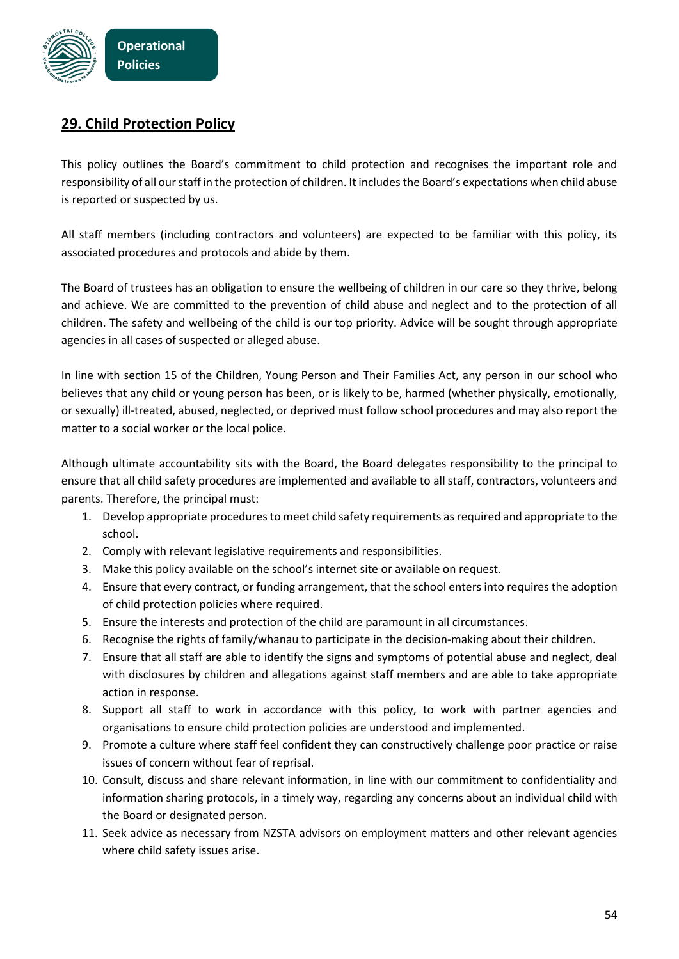

## **29. Child Protection Policy**

This policy outlines the Board's commitment to child protection and recognises the important role and responsibility of all our staff in the protection of children. It includesthe Board's expectations when child abuse is reported or suspected by us.

All staff members (including contractors and volunteers) are expected to be familiar with this policy, its associated procedures and protocols and abide by them.

The Board of trustees has an obligation to ensure the wellbeing of children in our care so they thrive, belong and achieve. We are committed to the prevention of child abuse and neglect and to the protection of all children. The safety and wellbeing of the child is our top priority. Advice will be sought through appropriate agencies in all cases of suspected or alleged abuse.

In line with section 15 of the Children, Young Person and Their Families Act, any person in our school who believes that any child or young person has been, or is likely to be, harmed (whether physically, emotionally, or sexually) ill-treated, abused, neglected, or deprived must follow school procedures and may also report the matter to a social worker or the local police.

Although ultimate accountability sits with the Board, the Board delegates responsibility to the principal to ensure that all child safety procedures are implemented and available to all staff, contractors, volunteers and parents. Therefore, the principal must:

- 1. Develop appropriate procedures to meet child safety requirements as required and appropriate to the school.
- 2. Comply with relevant legislative requirements and responsibilities.
- 3. Make this policy available on the school's internet site or available on request.
- 4. Ensure that every contract, or funding arrangement, that the school enters into requires the adoption of child protection policies where required.
- 5. Ensure the interests and protection of the child are paramount in all circumstances.
- 6. Recognise the rights of family/whanau to participate in the decision-making about their children.
- 7. Ensure that all staff are able to identify the signs and symptoms of potential abuse and neglect, deal with disclosures by children and allegations against staff members and are able to take appropriate action in response.
- 8. Support all staff to work in accordance with this policy, to work with partner agencies and organisations to ensure child protection policies are understood and implemented.
- 9. Promote a culture where staff feel confident they can constructively challenge poor practice or raise issues of concern without fear of reprisal.
- 10. Consult, discuss and share relevant information, in line with our commitment to confidentiality and information sharing protocols, in a timely way, regarding any concerns about an individual child with the Board or designated person.
- 11. Seek advice as necessary from NZSTA advisors on employment matters and other relevant agencies where child safety issues arise.